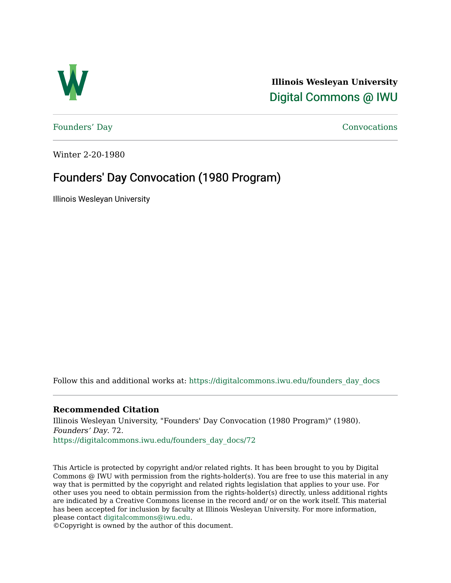

**Illinois Wesleyan University**  [Digital Commons @ IWU](https://digitalcommons.iwu.edu/) 

[Founders' Day](https://digitalcommons.iwu.edu/founders_day_docs) [Convocations](https://digitalcommons.iwu.edu/convocations_docs) 

Winter 2-20-1980

## Founders' Day Convocation (1980 Program)

Illinois Wesleyan University

Follow this and additional works at: [https://digitalcommons.iwu.edu/founders\\_day\\_docs](https://digitalcommons.iwu.edu/founders_day_docs?utm_source=digitalcommons.iwu.edu%2Ffounders_day_docs%2F72&utm_medium=PDF&utm_campaign=PDFCoverPages) 

#### **Recommended Citation**

Illinois Wesleyan University, "Founders' Day Convocation (1980 Program)" (1980). Founders' Day. 72. [https://digitalcommons.iwu.edu/founders\\_day\\_docs/72](https://digitalcommons.iwu.edu/founders_day_docs/72?utm_source=digitalcommons.iwu.edu%2Ffounders_day_docs%2F72&utm_medium=PDF&utm_campaign=PDFCoverPages)

This Article is protected by copyright and/or related rights. It has been brought to you by Digital Commons @ IWU with permission from the rights-holder(s). You are free to use this material in any way that is permitted by the copyright and related rights legislation that applies to your use. For other uses you need to obtain permission from the rights-holder(s) directly, unless additional rights are indicated by a Creative Commons license in the record and/ or on the work itself. This material has been accepted for inclusion by faculty at Illinois Wesleyan University. For more information, please contact [digitalcommons@iwu.edu.](mailto:digitalcommons@iwu.edu)

©Copyright is owned by the author of this document.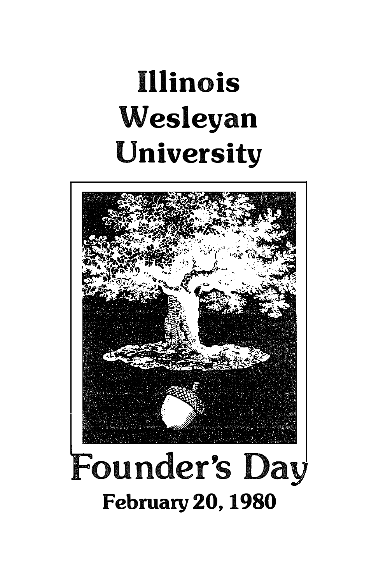# Illinois Wesleyan University

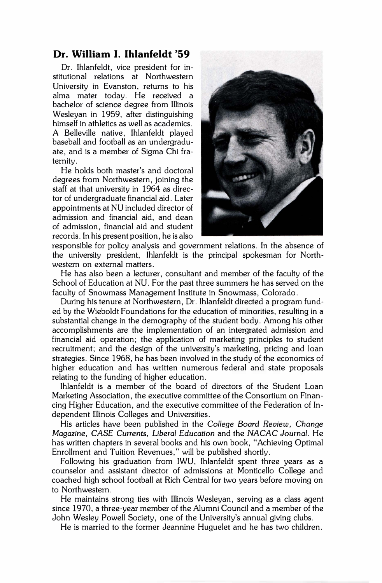#### Dr. William I. Ihlanfeldt '59

Dr. Ihlanfeldt, vice president for institutional relations at Northwestern University in Evanston, returns to his alma mater today. He received a bachelor of science degree from Illinois Wesleyan in 1959, after distinguishing himself in athletics as well as academics. A Belleville native, Ihlanfeldt played baseball and football as an undergraduate, and is a member of Sigma Chi fraternity.

He holds both master's and doctoral degrees from Northwestern, joining the staff at that university in 1964 as director of undergraduate financial aid. Later appointments at NU included director of admission and financial aid, and dean of admission, financial aid and student records. In his present position, he is also



responsible for policy analysis and government relations. In the absence of the university president, Ihlanfeldt is the principal spokesman for Northwestern on external matters.

He has also been a lecturer, consultant and member of the faculty of the School of Education at NU. For the past three summers he has served on the faculty of Snowmass Management Institute in Snowmass, Colorado.

During his tenure at Northwestern, Dr. Ihlanfeldt directed a program funded by the Wieboldt Foundations for the education of minorities, resulting in a substantial change in the demography of the student body. Among his other accomplishments are the implementation of an intergrated admission and financial aid operation; the application of marketing principles to student recruitment; and the design of the university's marketing, pricing and loan strategies. Since 1968, he has been involved in the study of the economics of higher education and has written numerous federal and state proposals relating to the funding of higher education.

Ihlanfeldt is a member of the board of directors of the Student Loan Marketing Association, the executive committee of the Consortium on Financing Higher Education, and the executive committee of the Federation of Independent Illinois Colleges and Universities.

His articles have been published in the College Board Review, Change Magazine, CASE Currents, Liberal Education and the NACAC Journal. He has written chapters in several books and his own book, "Achieving Optimal Enrollment and Tuition Revenues," will be published shortly.

Following his graduation from IWU, Ihlanfeldt spent three years as a counselor and assistant director of admissions at Monticello College and coached high school football at Rich Central for two years before moving on to Northwestern.

He maintains strong ties with Illinois Wesleyan, serving as a class agent since 1970, a three-year member of the Alumni Council and a member of the John Wesley Powell Society, one of the University's annual giving clubs.

He is married to the former Jeannine Huguelet and he has two children.